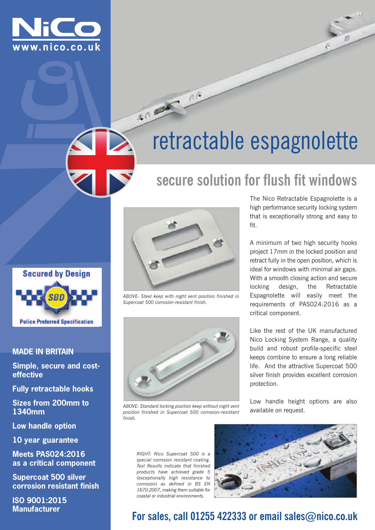



# **secure solution for flush fit windows**



### **MADE IN BRITAIN**

**Simple, secure and costeffective**

**Fully retractable hooks**

**Sizes from 200mm to 1340mm**

**Low handle option**

**10 year guarantee**

**Meets PAS024:2016 as a critical component**

**Supercoat 500 silver corrosion resistant finish**

**ISO 9001:2015 Manufacturer**



3000 00

*ABOVE: Steel keep with night vent position finished in Supercoat 500 corrosion-resistant finish.*



*ABOVE: Standard locking position keep without night vent position finished in Supercoat 500 corrosion-resistant finish.*

The Nico Retractable Espagnolette is a high performance security locking system that is exceptionally strong and easy to fit.

A minimum of two high security hooks project 17mm in the locked position and retract fully in the open position, which is ideal for windows with minimal air gaps. With a smooth closing action and secure locking design, the Retractable Espagnolette will easily meet the requirements of PAS024:2016 as a critical component.

Like the rest of the UK manufactured Nico Locking System Range, a quality build and robust profile-specific steel keeps combine to ensure a long reliable life. And the attractive Supercoat 500 silver finish provides excellent corrosion protection.

Low handle height options are also available on request.

*RIGHT: Nico Supercoat 500 is a special corrosion resistant coating. Test Results indicate that finished products have achieved grade 5 (exceptionally high resistance to corrosion) as defined in BS EN 1670:2007, making them suitable for coastal or industrial environments.*



## **For sales, call 01255 422333 or email sales@nico.co.uk**